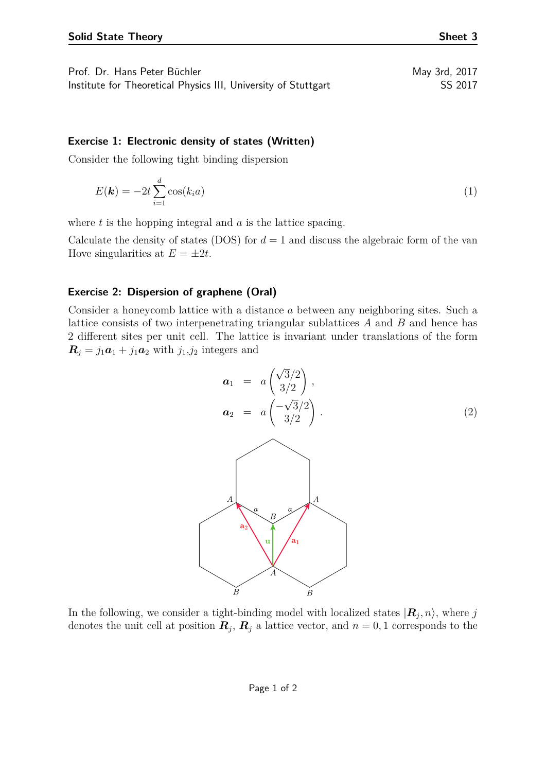| Prof. Dr. Hans Peter Büchler                                   | May 3rd, 2017 |
|----------------------------------------------------------------|---------------|
| Institute for Theoretical Physics III, University of Stuttgart | SS 2017       |

## **Exercise 1: Electronic density of states (Written)**

Consider the following tight binding dispersion

$$
E(\mathbf{k}) = -2t \sum_{i=1}^{d} \cos(k_i a)
$$
 (1)

where *t* is the hopping integral and *a* is the lattice spacing.

Calculate the density of states (DOS) for  $d = 1$  and discuss the algebraic form of the van Hove singularities at  $E = \pm 2t$ .

## **Exercise 2: Dispersion of graphene (Oral)**

Consider a honeycomb lattice with a distance *a* between any neighboring sites. Such a lattice consists of two interpenetrating triangular sublattices *A* and *B* and hence has 2 different sites per unit cell. The lattice is invariant under translations of the form  $\mathbf{R}_j = j_1 \mathbf{a}_1 + j_1 \mathbf{a}_2$  with  $j_1, j_2$  integers and



In the following, we consider a tight-binding model with localized states  $|\mathbf{R}_j, n\rangle$ , where  $j$ denotes the unit cell at position  $\mathbf{R}_j$ ,  $\mathbf{R}_j$  a lattice vector, and  $n = 0, 1$  corresponds to the